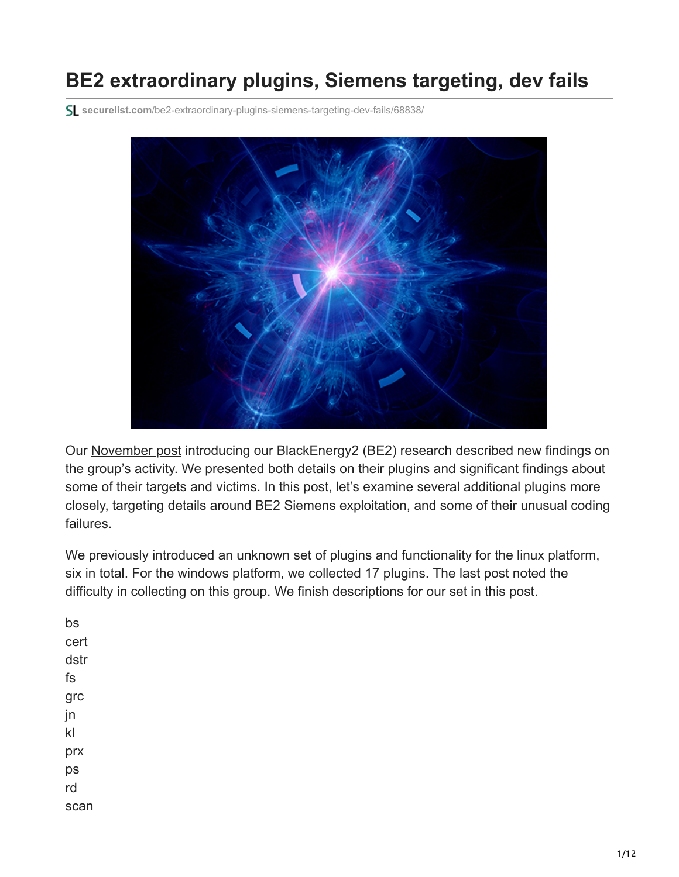# **BE2 extraordinary plugins, Siemens targeting, dev fails**

**securelist.com**[/be2-extraordinary-plugins-siemens-targeting-dev-fails/68838/](https://securelist.com/be2-extraordinary-plugins-siemens-targeting-dev-fails/68838/)



Our [November post](https://securelist.com/be2-custom-plugins-router-abuse-and-target-profiles/67353/) introducing our BlackEnergy2 (BE2) research described new findings on the group's activity. We presented both details on their plugins and significant findings about some of their targets and victims. In this post, let's examine several additional plugins more closely, targeting details around BE2 Siemens exploitation, and some of their unusual coding failures.

We previously introduced an unknown set of plugins and functionality for the linux platform, six in total. For the windows platform, we collected 17 plugins. The last post noted the difficulty in collecting on this group. We finish descriptions for our set in this post.

bs cert dstr fs grc jn kl prx ps rd scan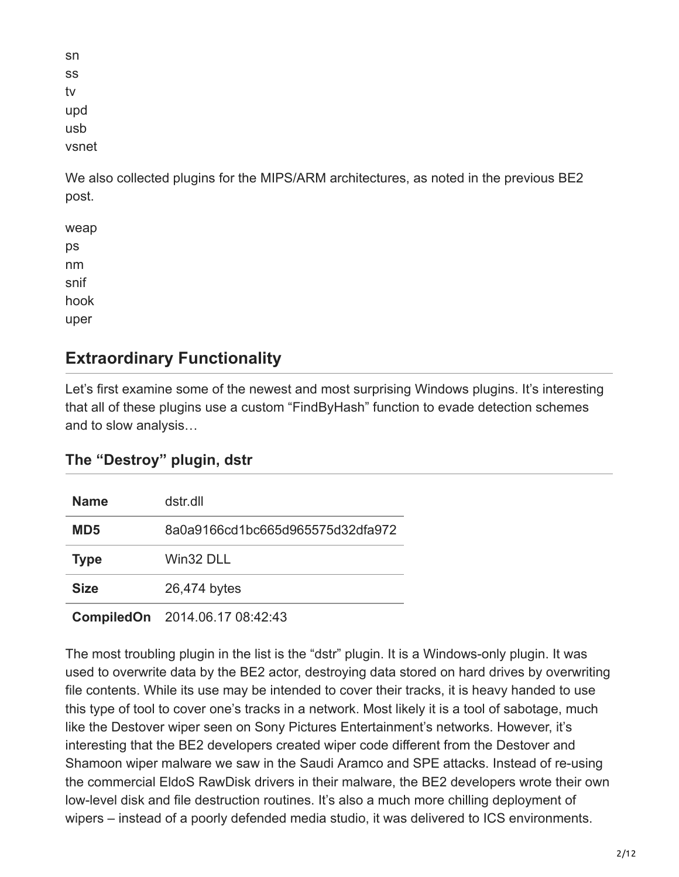| sn    |
|-------|
| SS    |
| tv    |
| upd   |
| usb   |
| vsnet |

We also collected plugins for the MIPS/ARM architectures, as noted in the previous BE2 post.

weap ps nm snif hook uper

# **Extraordinary Functionality**

Let's first examine some of the newest and most surprising Windows plugins. It's interesting that all of these plugins use a custom "FindByHash" function to evade detection schemes and to slow analysis…

## **The "Destroy" plugin, dstr**

| <b>Name</b>     | dstr.dll                         |
|-----------------|----------------------------------|
| MD <sub>5</sub> | 8a0a9166cd1bc665d965575d32dfa972 |
| <b>Type</b>     | Win32 DLL                        |
| <b>Size</b>     | 26,474 bytes                     |
|                 |                                  |

**CompiledOn** 2014.06.17 08:42:43

The most troubling plugin in the list is the "dstr" plugin. It is a Windows-only plugin. It was used to overwrite data by the BE2 actor, destroying data stored on hard drives by overwriting file contents. While its use may be intended to cover their tracks, it is heavy handed to use this type of tool to cover one's tracks in a network. Most likely it is a tool of sabotage, much like the Destover wiper seen on Sony Pictures Entertainment's networks. However, it's interesting that the BE2 developers created wiper code different from the Destover and Shamoon wiper malware we saw in the Saudi Aramco and SPE attacks. Instead of re-using the commercial EldoS RawDisk drivers in their malware, the BE2 developers wrote their own low-level disk and file destruction routines. It's also a much more chilling deployment of wipers – instead of a poorly defended media studio, it was delivered to ICS environments.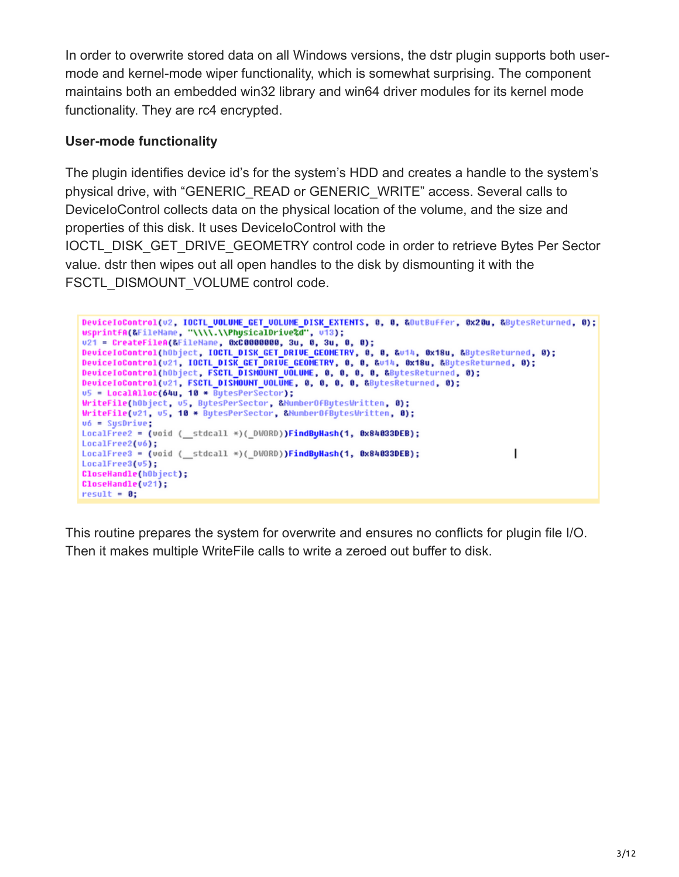In order to overwrite stored data on all Windows versions, the dstr plugin supports both usermode and kernel-mode wiper functionality, which is somewhat surprising. The component maintains both an embedded win32 library and win64 driver modules for its kernel mode functionality. They are rc4 encrypted.

## **User-mode functionality**

The plugin identifies device id's for the system's HDD and creates a handle to the system's physical drive, with "GENERIC\_READ or GENERIC\_WRITE" access. Several calls to DeviceIoControl collects data on the physical location of the volume, and the size and properties of this disk. It uses DeviceIoControl with the

IOCTL\_DISK\_GET\_DRIVE\_GEOMETRY control code in order to retrieve Bytes Per Sector value. dstr then wipes out all open handles to the disk by dismounting it with the FSCTL\_DISMOUNT\_VOLUME control code.

```
DeviceIoControl(v2, IOCTL_VOLUME_GET_VOLUME_DISK_EXTENTS, 0, 0, &OutBuffer, 0x20u, &BytesReturned, 0);
usprintfA(&FileName, "\\\\\.\\PhysicalDrive%d", v13);<br>v21 = CreateFileA(&FileName, 0xC0000000, 3u, 0, 3u, 0, 0);
DeviceToControl(hObject, IOCTL_DISK_GET_DRIVE_GEOMETRY, 0, 8, &v14, 0x18u, &BytesReturned, 0);
DeviceIoControl(v21, IOCTL_DISK_GET_DRIVE_GEOMETRY, 0, 0, &v14, 0x18u, &BytesReturned, 0);
DeviceloControl(hObject, FSCTL_DISMOUNT_VOLUME, 0, 0, 0, 0, 8, &BytesReturned, 0);
DeviceloControl(v21, FSCTL_DISHOUNT_VOLUME, 0, 0, 0, 0, &BytesReturned, 0);
u5 = LocalAlloc(64u, 10 * BytesPerSector);
WriteFile(hObject, u5, BytesPerSector, &NumberOfBytesWritten, 0);
WriteFile(u21, u5, 10 * BytesPerSector, &NumberOfBytesWritten, 0);
v6 = SystemLocalFree2 = (void (_stdcall *)(_DWORD))FindByHash(1, 0x84033DEB);
LocalFree2(v6);
LocalFree3 = (void ( stdcall *)( DWORD))FindByHash(1, 0x84033DEB);
                                                                                           1
LocalFree3(v5);
CloseHandle(hObject);
CloseHandle(v21);
result = 0;
```
This routine prepares the system for overwrite and ensures no conflicts for plugin file I/O. Then it makes multiple WriteFile calls to write a zeroed out buffer to disk.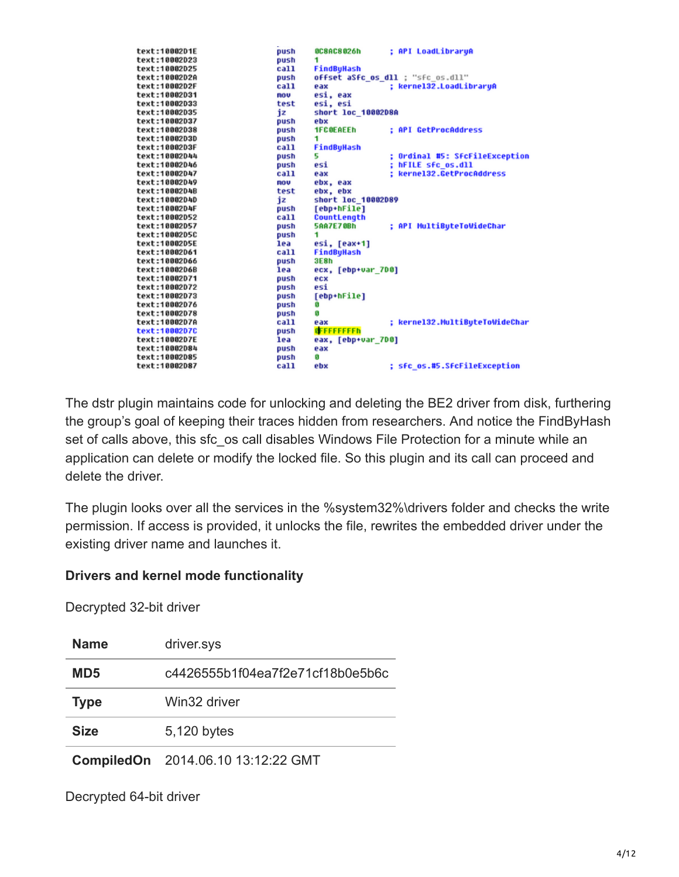| text:10002D1E | push | : API LoadLibraryA<br><b>BC8AC8026h</b>       |
|---------------|------|-----------------------------------------------|
| text:10002D23 | push | 1.                                            |
| text:10002D25 | call | FindByHash                                    |
| text:10002D2A | push | offset aSfc os dll ; "sfc os.dll"             |
| text:10002D2F | call | : kernel32.LoadLibraryA<br>eax                |
| text:10002D31 | mov  | esi, eax                                      |
| text:10002D33 | test | esi, esi                                      |
| text:10002D35 | iz   | short loc 10002D8A                            |
| text:10002D37 | push | ebx                                           |
| text:10002D38 | push | <b>1FC0EAEEh</b><br>: API GetProcAddress      |
| text:10002D3D | push | 1                                             |
| text:10002D3F | call | FindBuHash                                    |
| text:10002D44 | push | ; Ordinal #5: SfcFileException<br>5           |
| text:10002046 | push | : hFILE sfc os.dll<br>esi                     |
| text:10002D47 | call | : kerne132.GetProcAddress<br>eax              |
| text:10002D49 | mov  | ebx, eax                                      |
| text:10002D4B | test | ebx, ebx                                      |
| text:10002D4D | iz   | short loc 10002D89                            |
| text:10002D4F | push | [ebp+hFile]                                   |
| text:10002D52 | call | CountLength                                   |
| text:10002D57 | push | : API MultiButeToWideChar<br><b>5AA7E708h</b> |
| text:10002D5C | push | 1                                             |
| text:10002D5E | lea  | esi, [eax+1]                                  |
| text:10002D61 | call | FindByHash                                    |
| text:10002D66 | push | 3E8h                                          |
| text:10002D6B | lea  | ecx, [ebp+var 7D0]                            |
| text:10002D71 | push | ecx                                           |
| text:10002D72 | push | esi                                           |
| text:10002D73 | push | [ebp+hFile]                                   |
| text:10002D76 | push | G                                             |
| text:10002D78 | push | ß                                             |
| text:10002D7A | call | ; kerne132.MultiButeToWideChar<br>eax         |
| text:10002D7C | push | <b>GEFFFFFFFFh</b>                            |
| text:10002D7E | lea  | eax, [ebp+var 7D0]                            |
| text:10002D84 | push | eax                                           |
| text:10002D85 | push | ß                                             |
| text:10002D87 | call | : sfc os.#5.SfcFileException<br>ebx           |

The dstr plugin maintains code for unlocking and deleting the BE2 driver from disk, furthering the group's goal of keeping their traces hidden from researchers. And notice the FindByHash set of calls above, this sfc\_os call disables Windows File Protection for a minute while an application can delete or modify the locked file. So this plugin and its call can proceed and delete the driver.

The plugin looks over all the services in the %system32%\drivers folder and checks the write permission. If access is provided, it unlocks the file, rewrites the embedded driver under the existing driver name and launches it.

#### **Drivers and kernel mode functionality**

Decrypted 32-bit driver

| <b>Name</b>     | driver.sys                         |
|-----------------|------------------------------------|
| MD <sub>5</sub> | c4426555b1f04ea7f2e71cf18b0e5b6c   |
| <b>Type</b>     | Win32 driver                       |
| <b>Size</b>     | 5,120 bytes                        |
|                 | CompiledOn 2014.06.10 13:12:22 GMT |

Decrypted 64-bit driver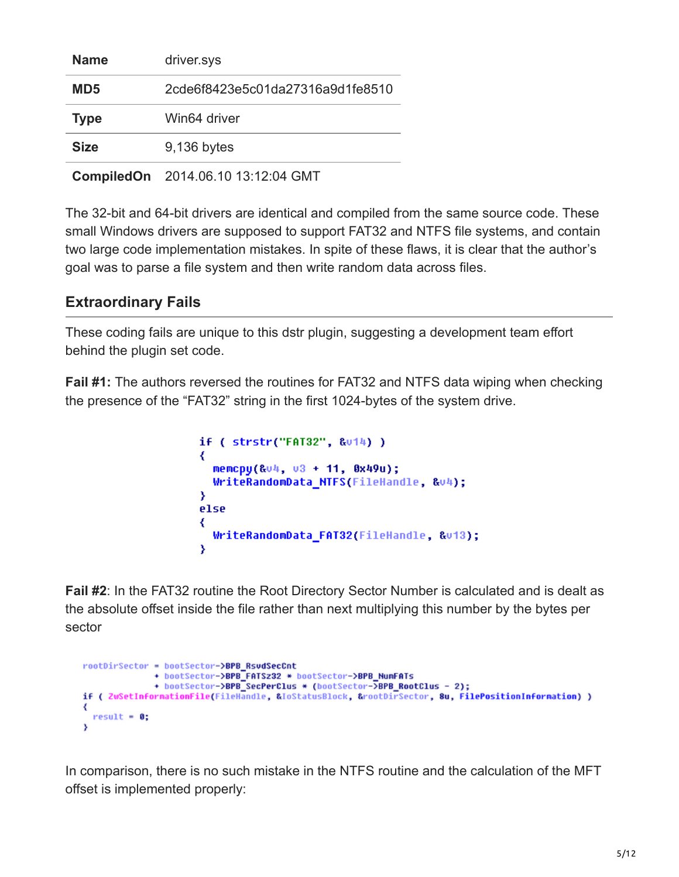| <b>Name</b>     | driver.sys                         |
|-----------------|------------------------------------|
| MD <sub>5</sub> | 2cde6f8423e5c01da27316a9d1fe8510   |
| <b>Type</b>     | Win64 driver                       |
| <b>Size</b>     | 9,136 bytes                        |
|                 | CompiledOn 2014.06.10 13:12:04 GMT |

The 32-bit and 64-bit drivers are identical and compiled from the same source code. These small Windows drivers are supposed to support FAT32 and NTFS file systems, and contain two large code implementation mistakes. In spite of these flaws, it is clear that the author's goal was to parse a file system and then write random data across files.

## **Extraordinary Fails**

These coding fails are unique to this dstr plugin, suggesting a development team effort behind the plugin set code.

**Fail #1:** The authors reversed the routines for FAT32 and NTFS data wiping when checking the presence of the "FAT32" string in the first 1024-bytes of the system drive.

```
if ( strstr("FAT32", &u14) )
₹
  memcpy(&v4, v3 + 11, 0x49u);
  WriteRandomData_NTFS(FileHandle, &v4);
Y
else
₹
  WriteRandomData_FAT32(FileHandle, &v13);
Y
```
**Fail #2**: In the FAT32 routine the Root Directory Sector Number is calculated and is dealt as the absolute offset inside the file rather than next multiplying this number by the bytes per sector

```
rootDirSector = bootSector->BPB RsvdSecCnt
             + bootSector->BPB_FATSz32 * bootSector->BPB_NumFATs
              + bootSector->BPB_SecPerClus * (bootSector->BPB_RootClus - 2);
if ( ZwSetInformationFile(FileHandle, &IoStatusBlock, &rootDirSector, 8u, FilePositionInformation) )
₹
 result = 0:
١
```
In comparison, there is no such mistake in the NTFS routine and the calculation of the MFT offset is implemented properly: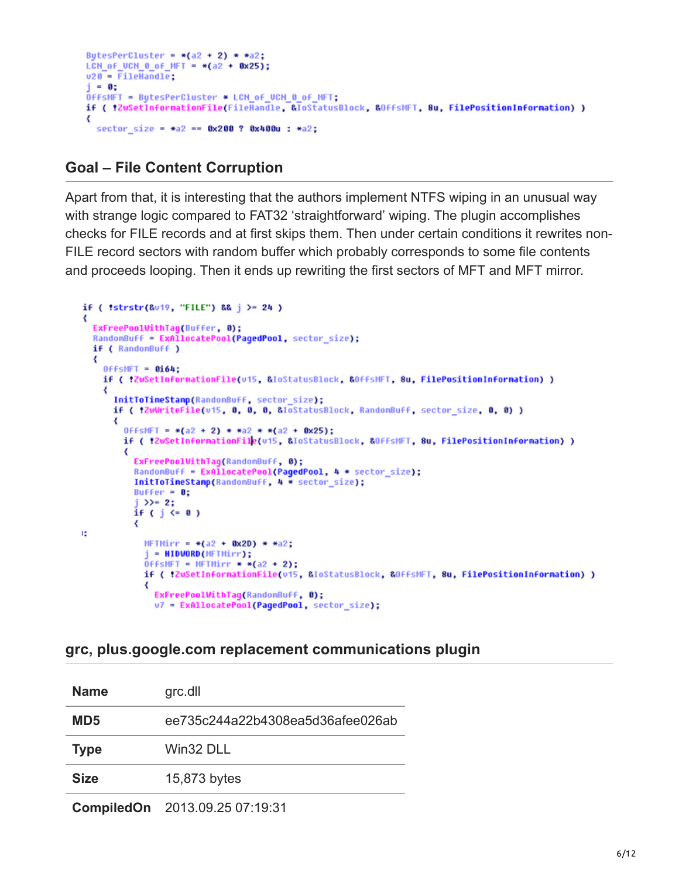```
BytesPerCluster = *(a2 + 2) * * a2;LCN of UCN 8 of MFT = *(a2 + 0x25);v20 - FileHandle;
j = 0;OffsMFT = BytesPerCluster * LCN_of_UCN_0_of_MFT;
if ( !ZwSetInformationFile(FileHandle, &ToStatusBlock, &OffsMFT, 8u, FilePositionInformation) )
₹
  sector size = *a2 == 0x200 ? 0x400u : *a2;
```
#### **Goal – File Content Corruption**

Apart from that, it is interesting that the authors implement NTFS wiping in an unusual way with strange logic compared to FAT32 'straightforward' wiping. The plugin accomplishes checks for FILE records and at first skips them. Then under certain conditions it rewrites non-FILE record sectors with random buffer which probably corresponds to some file contents and proceeds looping. Then it ends up rewriting the first sectors of MFT and MFT mirror.

```
if ( !strstr(&v19, "FILE") && j > = 24 )
₹
  ExFreePoolWithTag(Buffer, 0);
  RandomBuff = ExAllocatePool(PagedPool, sector_size);
  if ( RandomBuff )
  ₹
    0ffSMFT = 0164:
    if ( !ZuSetInformationFile(u15, &IoStatusBlock, &OffsMFT, 8u, FilePositionInformation) )
    ₹
      InitToTimeStamp(RandomBuff, sector_size);
      if ( !ZwWriteFile(u15, 0, 0, 0, &IoStatusBlock, RandomBuff, sector_size, 0, 0) )
      ₹
        OFFSMFT = *(a2 + 2) * *a2 * *(a2 + 0x25);
        if ( !ZwSetInformationFile(v15, &IoStatusBlock, &OffsMFT, 8u, FilePositionInformation) )
        ₹
          ExFreePoolWithTag(RandomBuff, 0);
          RandomBuff = ExAllocatePool(PagedPool, 4 * sector_size);
          InitToTimeStamp(RandomBuff, 4 * sector_size);
          Buffer = 0;
          1 >>= 2;
          if (j \leq 0)₹
Ιż
            MFTMirr = *(a2 + 0x2D) * *a2;j = HIDWORD(MFTMirr);
            0FFsMFT = MFTMirr = *(a2 + 2);
            if ( !ZwSetInformationFile(u15, &IoStatusBlock, &OffsMFT, 8u, FilePositionInformation) )
            ₹
              ExFreePoolWithTag(RandonBuff, 0);
              u7 = ExAllocatePool(PagedPool, sector_size);
```
#### **grc, plus.google.com replacement communications plugin**

| <b>Name</b>       | grc.dll                          |
|-------------------|----------------------------------|
| MD <sub>5</sub>   | ee735c244a22b4308ea5d36afee026ab |
| <b>Type</b>       | Win32 DLL                        |
| <b>Size</b>       | 15,873 bytes                     |
| <b>CompiledOn</b> | 2013.09.25 07:19:31              |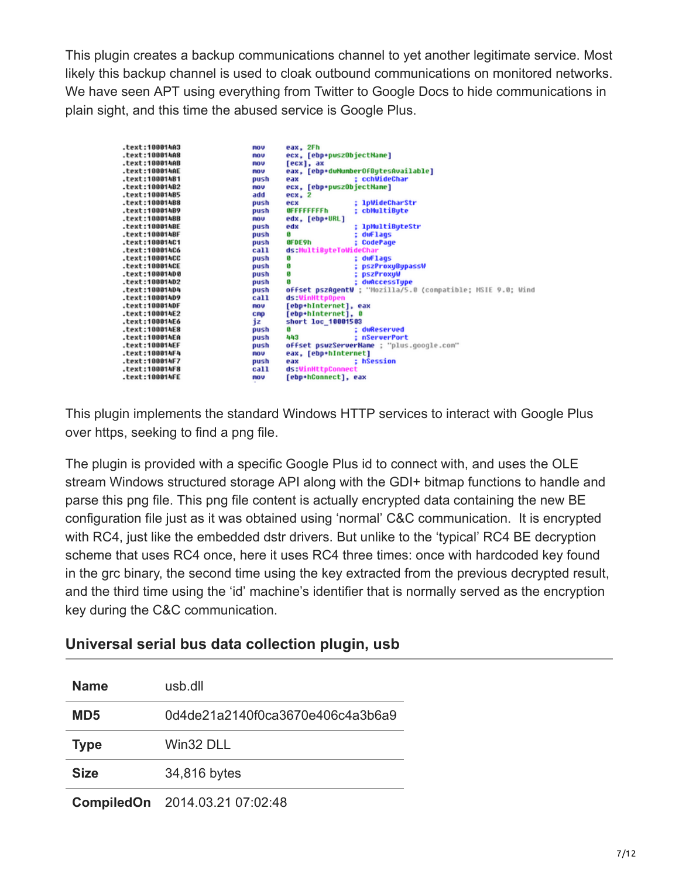This plugin creates a backup communications channel to yet another legitimate service. Most likely this backup channel is used to cloak outbound communications on monitored networks. We have seen APT using everything from Twitter to Google Docs to hide communications in plain sight, and this time the abused service is Google Plus.

| .text:100014A3 | nov        | eax, 2Fh                  |                                                             |
|----------------|------------|---------------------------|-------------------------------------------------------------|
| .text:100014A8 | <b>ROU</b> | ecx, [ebp+puszObjectName] |                                                             |
| .text:100014AB | nov        | [ecx], ax                 |                                                             |
| .text:100014AE | <b>ROU</b> |                           | eax, [ebp+duNumberOfBytesAvailable]                         |
| text:10001481. | push       | eax                       | : cchWideChar                                               |
| .text:10001482 | <b>ROV</b> | ecx, [ebp+puszObjectName] |                                                             |
| .text:10001485 | add        | $ecx$ , $2$               |                                                             |
| .text:10001488 | push       | ecx                       | : 1pWideCharStr                                             |
| text:10001489. | push       | OFFFFFFFFFh               | ; cbMultiByte                                               |
| .text:1000148B | <b>ROU</b> | edx, [ebp+URL]            |                                                             |
| .text:1000148E | push       | edx                       | ; 1pMultiByteStr                                            |
| .text:1000148F | push       | o                         | dwFlags                                                     |
| .text:100014C1 | push       | 8FDE9h                    | ; CodePage                                                  |
| .text:100014C6 | call       | ds:MultiByteToWideChar    |                                                             |
| .text:100014CC | push       | o                         | : dwFlags                                                   |
| .text:100014CE | push       | Ø                         | <b>pszProxyBypassW</b>                                      |
| .text:100014D0 | push       | 0                         | <b>DSZProxuW</b>                                            |
| .text:100014D2 | push       | ß                         | dwAccessType                                                |
| .text:10001404 | push       |                           | offset pszAqentW : "Mozilla/5.0 (compatible; MSIE 9.0; Wind |
| text:10001409. | call       | ds:WinHttpOpen            |                                                             |
| .text:100014DF | nov        | [ebp+hInternet], eax      |                                                             |
| .text:100014E2 | CRP        | [ebp+hInternet], 0        |                                                             |
| .text:100014E6 | iz         | short loc 10001503        |                                                             |
| .text:100014E8 | push       | o                         | : duReserved                                                |
| .text:100014EA | push       | 443                       | : nServerPort                                               |
| .text:100014EF | push       |                           | offset psuzServerName : "plus.google.com"                   |
| .text:100014F4 | nov        | eax, [ebp+hInternet]      |                                                             |
| .text:100014F7 | push       | eax                       | : hSession                                                  |
| .text:100014F8 | call       | ds:WinHttpConnect         |                                                             |
| .text:100014FE | <b>ROU</b> | [ebp+hConnect], eax       |                                                             |
|                |            |                           |                                                             |

This plugin implements the standard Windows HTTP services to interact with Google Plus over https, seeking to find a png file.

The plugin is provided with a specific Google Plus id to connect with, and uses the OLE stream Windows structured storage API along with the GDI+ bitmap functions to handle and parse this png file. This png file content is actually encrypted data containing the new BE configuration file just as it was obtained using 'normal' C&C communication. It is encrypted with RC4, just like the embedded dstr drivers. But unlike to the 'typical' RC4 BE decryption scheme that uses RC4 once, here it uses RC4 three times: once with hardcoded key found in the grc binary, the second time using the key extracted from the previous decrypted result, and the third time using the 'id' machine's identifier that is normally served as the encryption key during the C&C communication.

## **Universal serial bus data collection plugin, usb**

| <b>Name</b> | usb.dll                               |
|-------------|---------------------------------------|
| MD5         | 0d4de21a2140f0ca3670e406c4a3b6a9      |
| <b>Type</b> | Win32 DLL                             |
| <b>Size</b> | 34,816 bytes                          |
|             | <b>CompiledOn</b> 2014.03.21 07:02:48 |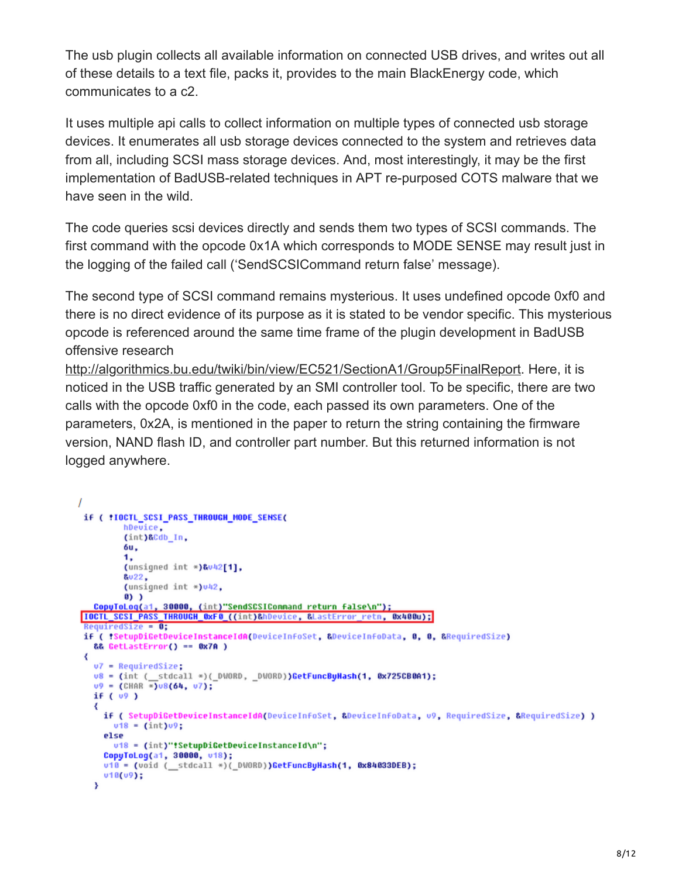The usb plugin collects all available information on connected USB drives, and writes out all of these details to a text file, packs it, provides to the main BlackEnergy code, which communicates to a c2.

It uses multiple api calls to collect information on multiple types of connected usb storage devices. It enumerates all usb storage devices connected to the system and retrieves data from all, including SCSI mass storage devices. And, most interestingly, it may be the first implementation of BadUSB-related techniques in APT re-purposed COTS malware that we have seen in the wild.

The code queries scsi devices directly and sends them two types of SCSI commands. The first command with the opcode 0x1A which corresponds to MODE SENSE may result just in the logging of the failed call ('SendSCSICommand return false' message).

The second type of SCSI command remains mysterious. It uses undefined opcode 0xf0 and there is no direct evidence of its purpose as it is stated to be vendor specific. This mysterious opcode is referenced around the same time frame of the plugin development in BadUSB offensive research

[http://algorithmics.bu.edu/twiki/bin/view/EC521/SectionA1/Group5FinalReport.](http://algorithmics.bu.edu/twiki/bin/view/EC521/SectionA1/Group5FinalReport) Here, it is noticed in the USB traffic generated by an SMI controller tool. To be specific, there are two calls with the opcode 0xf0 in the code, each passed its own parameters. One of the parameters, 0x2A, is mentioned in the paper to return the string containing the firmware version, NAND flash ID, and controller part number. But this returned information is not logged anywhere.

```
\overline{I}if ( !IOCTL SCSI PASS THROUGH MODE SENSE(
         hDevice.
         (int)&Cdb_In,
         6u.
         1,
         (unsigned int *)&v42[1],
         &u22.
         (unsigned int *)v42.
         0))
  CopyToLog(a1, 30000, (int)"SendSCSICommand return false\n");
IOCTL_SCSI_PASS_THROUGH_0xF0_((int)&hDevice, &LastError_retn, 0x400u);
 RequiredSize = <math>0</math>:if ( :SetupDiGetDeviceInstanceIdA(DeviceInfoSet, &DeviceInfoData, 0, 0, &RequiredSize)
  && GetLastError() == 0x7A )
 €
  v7 = RequiredSize;u8 = (int (_stdcall *)(_DWORD, _DWORD))GetFuncByHash(1, 0x725CB0A1);
   09 = (CHAR \times 0.08(64, 07);if ( 09 )
   ₹
     if ( SetupDiGetDeviceInstanceIdA(DeviceInfoSet, &DeviceInfoData, v9, RequiredSize, &RequiredSize) )
       v18 = (int) v9;else
       u18 = (int)"#SetupDiGetDeviceInstanceId\n";
     CopyToLog(a1, 30000, v18);
     u10 = (uoid (__stdcall *)(_DWORD))GetFuncByHash(1, 0x84033DEB);
     018(09);
   Y
```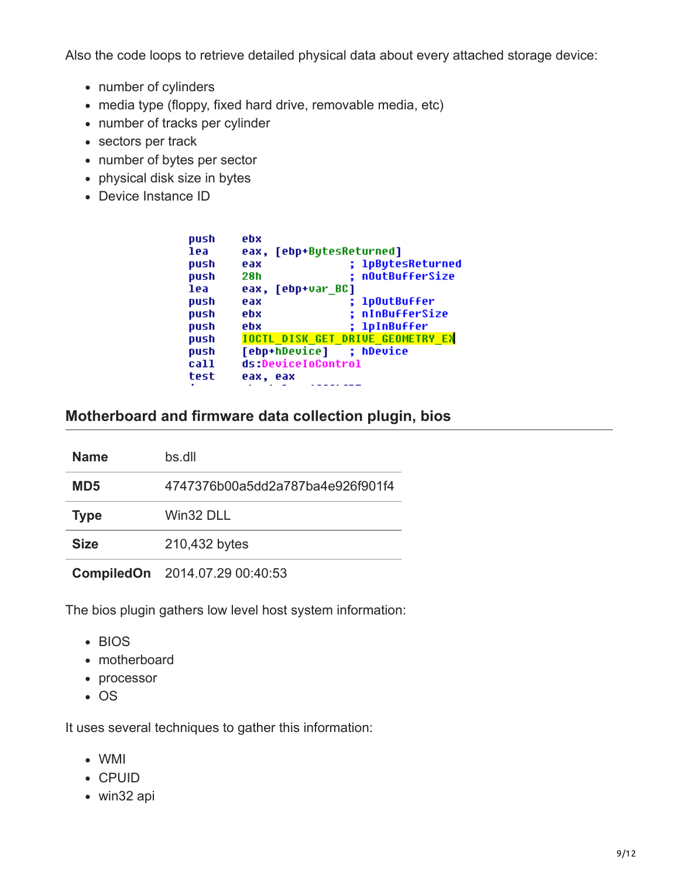Also the code loops to retrieve detailed physical data about every attached storage device:

- number of cylinders
- media type (floppy, fixed hard drive, removable media, etc)
- number of tracks per cylinder
- sectors per track
- number of bytes per sector
- physical disk size in bytes
- Device Instance ID

| push | ebx                                     |                   |
|------|-----------------------------------------|-------------------|
| lea  | [ebp+BytesReturned]<br>eax.             |                   |
| push | eax                                     | ; 1pBytesReturned |
| push | 28h                                     | nOutBufferSize    |
| lea  | [ebp+var BC]<br>eax.                    |                   |
| push | eax                                     | ; 1p0utBuffer     |
| push | ebx                                     | ; nInBufferSize   |
| push | ebx                                     | ; 1pInBuffer      |
| push | <b>TOCTL DISK GET DRIVE GEOMETRY EX</b> |                   |
| push | [ebp+hDevice]                           | ; hDevice         |
| call | ds:DeviceIoControl                      |                   |
| test | eax, eax                                |                   |
|      |                                         |                   |

## **Motherboard and firmware data collection plugin, bios**

| <b>Name</b> | bs.dll                           |
|-------------|----------------------------------|
| MD5         | 4747376b00a5dd2a787ba4e926f901f4 |
| Type        | Win32 DLL                        |
| <b>Size</b> | 210,432 bytes                    |
|             |                                  |

**CompiledOn** 2014.07.29 00:40:53

The bios plugin gathers low level host system information:

- BIOS
- motherboard
- processor
- $\cdot$  OS

It uses several techniques to gather this information:

- WMI
- CPUID
- win32 api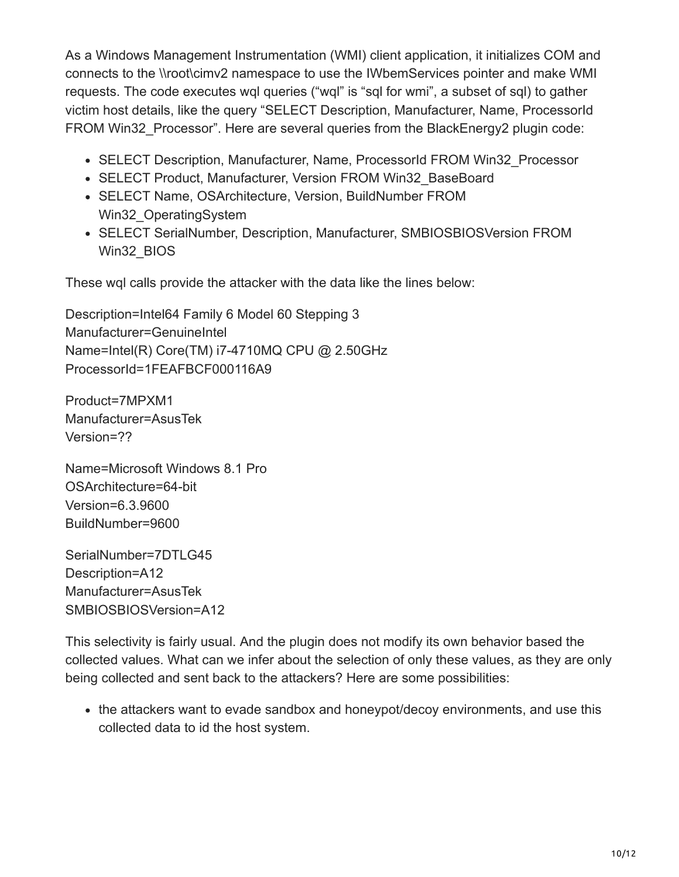As a Windows Management Instrumentation (WMI) client application, it initializes COM and connects to the \\root\cimv2 namespace to use the IWbemServices pointer and make WMI requests. The code executes wql queries ("wql" is "sql for wmi", a subset of sql) to gather victim host details, like the query "SELECT Description, Manufacturer, Name, ProcessorId FROM Win32 Processor". Here are several queries from the BlackEnergy2 plugin code:

- SELECT Description, Manufacturer, Name, ProcessorId FROM Win32 Processor
- SELECT Product, Manufacturer, Version FROM Win32\_BaseBoard
- SELECT Name, OSArchitecture, Version, BuildNumber FROM Win32\_OperatingSystem
- SELECT SerialNumber, Description, Manufacturer, SMBIOSBIOSVersion FROM Win32\_BIOS

These wql calls provide the attacker with the data like the lines below:

Description=Intel64 Family 6 Model 60 Stepping 3 Manufacturer=GenuineIntel Name=Intel(R) Core(TM) i7-4710MQ CPU @ 2.50GHz ProcessorId=1FEAFBCF000116A9

Product=7MPXM1 Manufacturer=AsusTek Version=??

Name=Microsoft Windows 8.1 Pro OSArchitecture=64-bit Version=6.3.9600 BuildNumber=9600

SerialNumber=7DTLG45 Description=A12 Manufacturer=AsusTek SMBIOSBIOSVersion=A12

This selectivity is fairly usual. And the plugin does not modify its own behavior based the collected values. What can we infer about the selection of only these values, as they are only being collected and sent back to the attackers? Here are some possibilities:

• the attackers want to evade sandbox and honeypot/decoy environments, and use this collected data to id the host system.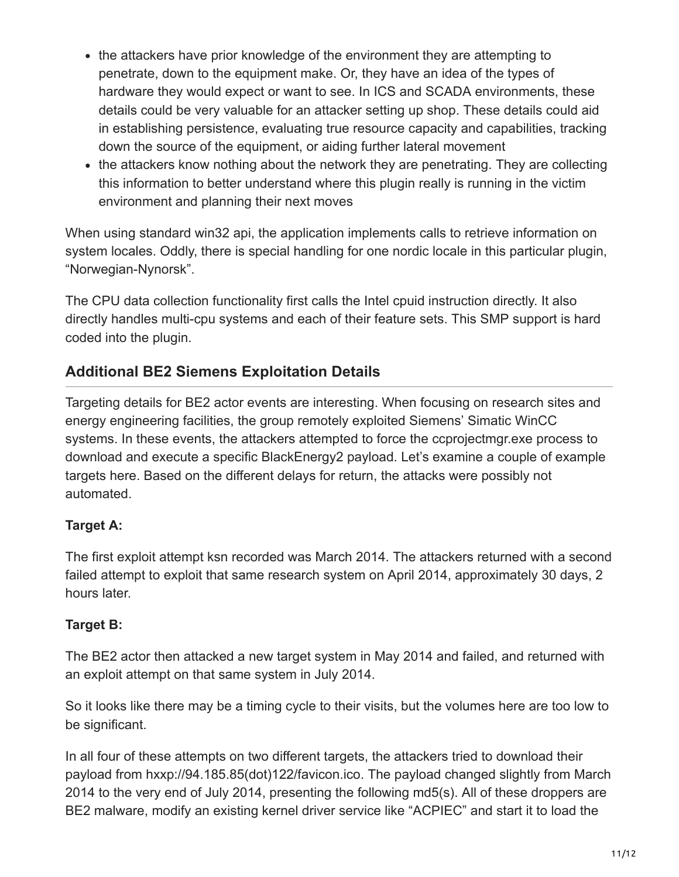- the attackers have prior knowledge of the environment they are attempting to penetrate, down to the equipment make. Or, they have an idea of the types of hardware they would expect or want to see. In ICS and SCADA environments, these details could be very valuable for an attacker setting up shop. These details could aid in establishing persistence, evaluating true resource capacity and capabilities, tracking down the source of the equipment, or aiding further lateral movement
- the attackers know nothing about the network they are penetrating. They are collecting this information to better understand where this plugin really is running in the victim environment and planning their next moves

When using standard win32 api, the application implements calls to retrieve information on system locales. Oddly, there is special handling for one nordic locale in this particular plugin, "Norwegian-Nynorsk".

The CPU data collection functionality first calls the Intel cpuid instruction directly. It also directly handles multi-cpu systems and each of their feature sets. This SMP support is hard coded into the plugin.

## **Additional BE2 Siemens Exploitation Details**

Targeting details for BE2 actor events are interesting. When focusing on research sites and energy engineering facilities, the group remotely exploited Siemens' Simatic WinCC systems. In these events, the attackers attempted to force the ccprojectmgr.exe process to download and execute a specific BlackEnergy2 payload. Let's examine a couple of example targets here. Based on the different delays for return, the attacks were possibly not automated.

## **Target A:**

The first exploit attempt ksn recorded was March 2014. The attackers returned with a second failed attempt to exploit that same research system on April 2014, approximately 30 days, 2 hours later.

#### **Target B:**

The BE2 actor then attacked a new target system in May 2014 and failed, and returned with an exploit attempt on that same system in July 2014.

So it looks like there may be a timing cycle to their visits, but the volumes here are too low to be significant.

In all four of these attempts on two different targets, the attackers tried to download their payload from hxxp://94.185.85(dot)122/favicon.ico. The payload changed slightly from March 2014 to the very end of July 2014, presenting the following md5(s). All of these droppers are BE2 malware, modify an existing kernel driver service like "ACPIEC" and start it to load the